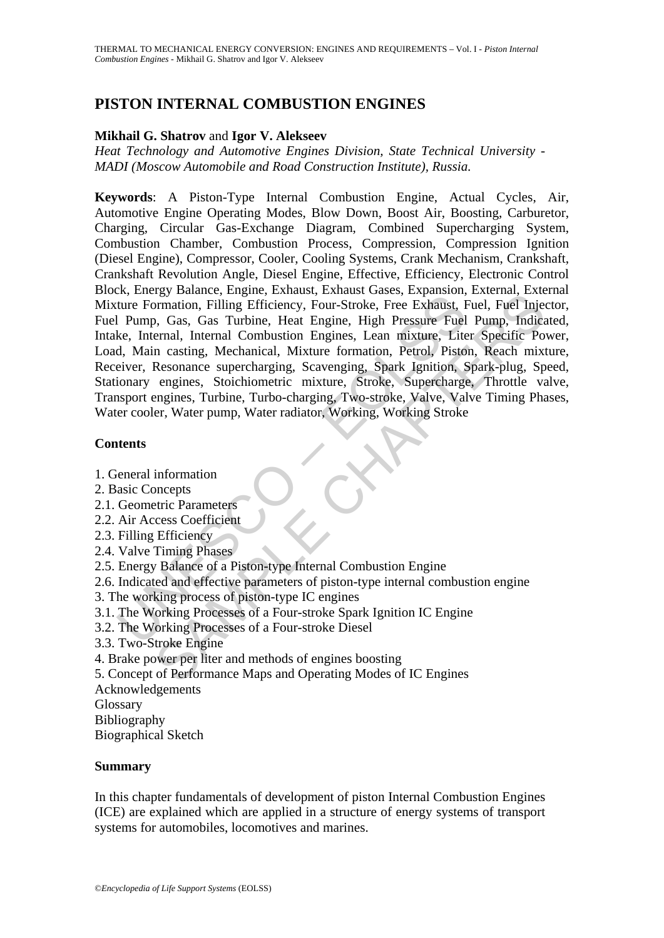# **PISTON INTERNAL COMBUSTION ENGINES**

#### **Mikhail G. Shatrov** and **Igor V. Alekseev**

*Heat Technology and Automotive Engines Division, State Technical University - MADI (Moscow Automobile and Road Construction Institute), Russia.* 

External Combuston, English, Lamach, Canadian Caucal, Capturian Capture Formation, Filling Efficiency, Four-Stroke, Free Exhaust, Filter, Internal, Internal Combustion Engines, Lean mixture, Lite<br>d, Main casting, Mechanica For Banance, Lengthe, Londard, Canadas Gasak, Canadas Gasak, Expediation, Elling Efficiency, Four-Stroke, Free Exhaust, Fuel, Fuel Injerental, Internal, Internal, Internal Combustion Engines, Lean mixture formation, Fuel T **Keywords**: A Piston-Type Internal Combustion Engine, Actual Cycles, Air, Automotive Engine Operating Modes, Blow Down, Boost Air, Boosting, Carburetor, Charging, Circular Gas-Exchange Diagram, Combined Supercharging System, Combustion Chamber, Combustion Process, Compression, Compression Ignition (Diesel Engine), Compressor, Cooler, Cooling Systems, Crank Mechanism, Crankshaft, Crankshaft Revolution Angle, Diesel Engine, Effective, Efficiency, Electronic Control Block, Energy Balance, Engine, Exhaust, Exhaust Gases, Expansion, External, External Mixture Formation, Filling Efficiency, Four-Stroke, Free Exhaust, Fuel, Fuel Injector, Fuel Pump, Gas, Gas Turbine, Heat Engine, High Pressure Fuel Pump, Indicated, Intake, Internal, Internal Combustion Engines, Lean mixture, Liter Specific Power, Load, Main casting, Mechanical, Mixture formation, Petrol, Piston, Reach mixture, Receiver, Resonance supercharging, Scavenging, Spark Ignition, Spark-plug, Speed, Stationary engines, Stoichiometric mixture, Stroke, Supercharge, Throttle valve, Transport engines, Turbine, Turbo-charging, Two-stroke, Valve, Valve Timing Phases, Water cooler, Water pump, Water radiator, Working, Working Stroke

### **Contents**

- 1. General information
- 2. Basic Concepts
- 2.1. Geometric Parameters
- 2.2. Air Access Coefficient
- 2.3. Filling Efficiency
- 2.4. Valve Timing Phases
- 2.5. Energy Balance of a Piston-type Internal Combustion Engine
- 2.6. Indicated and effective parameters of piston-type internal combustion engine
- 3. The working process of piston-type IC engines
- 3.1. The Working Processes of a Four-stroke Spark Ignition IC Engine
- 3.2. The Working Processes of a Four-stroke Diesel
- 3.3. Two-Stroke Engine
- 4. Brake power per liter and methods of engines boosting
- 5. Concept of Performance Maps and Operating Modes of IC Engines
- Acknowledgements

Glossary

Bibliography

Biographical Sketch

#### **Summary**

In this chapter fundamentals of development of piston Internal Combustion Engines (ICE) are explained which are applied in a structure of energy systems of transport systems for automobiles, locomotives and marines.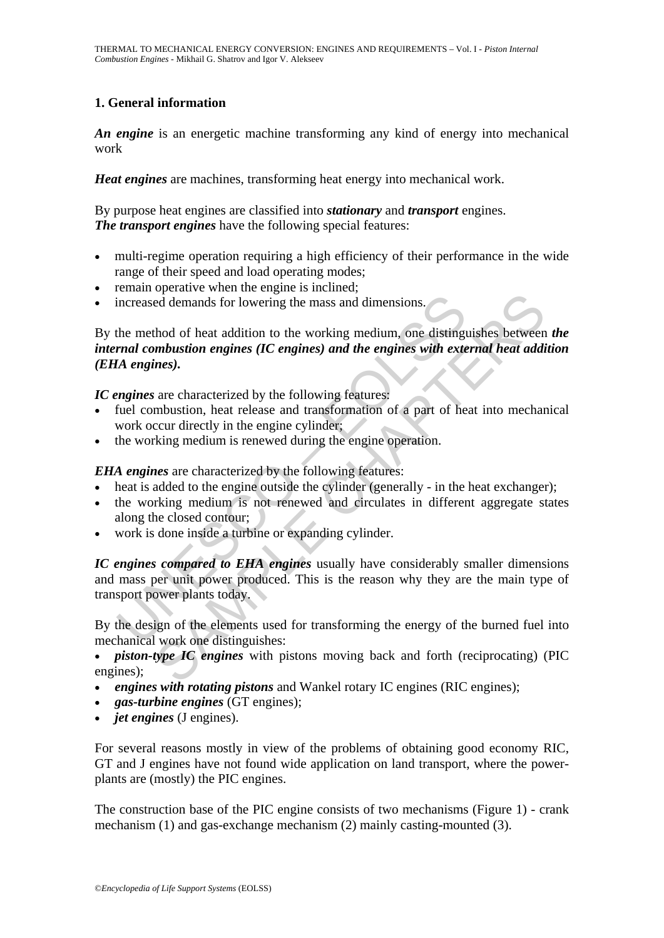## **1. General information**

*An engine* is an energetic machine transforming any kind of energy into mechanical work

*Heat engines* are machines, transforming heat energy into mechanical work.

By purpose heat engines are classified into *stationary* and *transport* engines. *The transport engines* have the following special features:

- multi-regime operation requiring a high efficiency of their performance in the wide range of their speed and load operating modes;
- remain operative when the engine is inclined;
- increased demands for lowering the mass and dimensions.

increased demands for lowering the mass and dimensions.<br>
the method of heat addition to the working medium, one distingual *combustion engines (IC engines) and the engines with exte*<br> *Ma engines*).<br> *Ma engines* are chara ed demands for lowering the mass and dimensions.<br>
Hold of heat addition to the working medium, one distinguishes between<br> *mbustion engines (IC engines) and the engines with external heat additions).*<br>
are characterized by By the method of heat addition to the working medium, one distinguishes between *the internal combustion engines (IC engines) and the engines with external heat addition (EHA engines).* 

*IC engines* are characterized by the following features:

- fuel combustion, heat release and transformation of a part of heat into mechanical work occur directly in the engine cylinder;
- the working medium is renewed during the engine operation.

*EHA engines* are characterized by the following features:

- heat is added to the engine outside the cylinder (generally in the heat exchanger);
- the working medium is not renewed and circulates in different aggregate states along the closed contour;
- work is done inside a turbine or expanding cylinder.

*IC engines compared to EHA engines* usually have considerably smaller dimensions and mass per unit power produced. This is the reason why they are the main type of transport power plants today.

By the design of the elements used for transforming the energy of the burned fuel into mechanical work one distinguishes:

• *piston-type IC engines* with pistons moving back and forth (reciprocating) (PIC engines);

- *engines with rotating pistons* and Wankel rotary IC engines (RIC engines);
- *gas-turbine engines* (GT engines);
- *jet engines* (J engines).

For several reasons mostly in view of the problems of obtaining good economy RIC, GT and J engines have not found wide application on land transport, where the powerplants are (mostly) the PIC engines.

The construction base of the PIC engine consists of two mechanisms (Figure 1) - crank mechanism (1) and gas-exchange mechanism (2) mainly casting-mounted (3).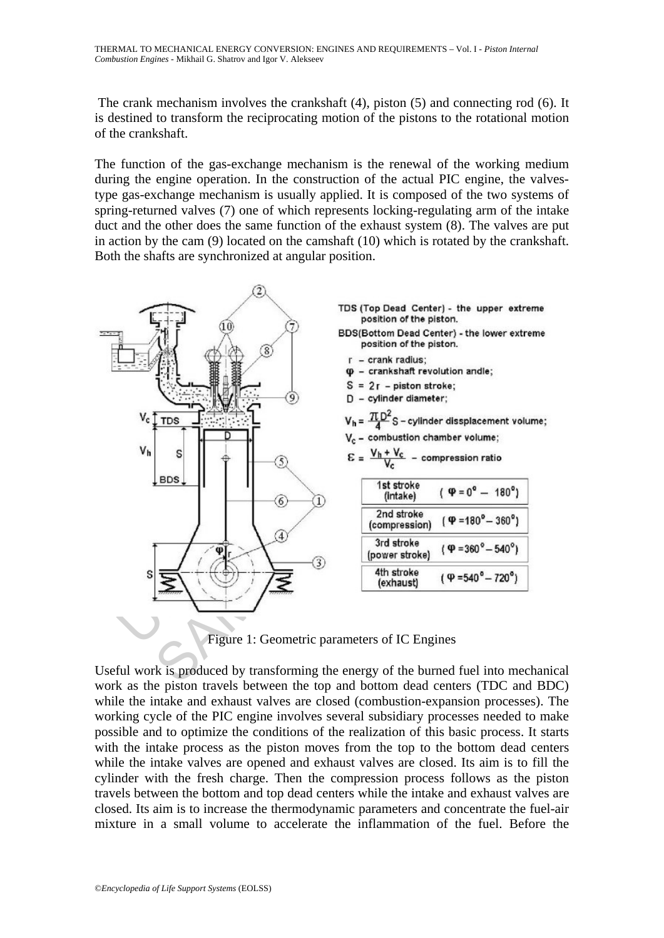The crank mechanism involves the crankshaft (4), piston (5) and connecting rod (6). It is destined to transform the reciprocating motion of the pistons to the rotational motion of the crankshaft.

The function of the gas-exchange mechanism is the renewal of the working medium during the engine operation. In the construction of the actual PIC engine, the valvestype gas-exchange mechanism is usually applied. It is composed of the two systems of spring-returned valves (7) one of which represents locking-regulating arm of the intake duct and the other does the same function of the exhaust system (8). The valves are put in action by the cam (9) located on the camshaft (10) which is rotated by the crankshaft. Both the shafts are synchronized at angular position.



Figure 1: Geometric parameters of IC Engines

Useful work is produced by transforming the energy of the burned fuel into mechanical work as the piston travels between the top and bottom dead centers (TDC and BDC) while the intake and exhaust valves are closed (combustion-expansion processes). The working cycle of the PIC engine involves several subsidiary processes needed to make possible and to optimize the conditions of the realization of this basic process. It starts with the intake process as the piston moves from the top to the bottom dead centers while the intake valves are opened and exhaust valves are closed. Its aim is to fill the cylinder with the fresh charge. Then the compression process follows as the piston travels between the bottom and top dead centers while the intake and exhaust valves are closed. Its aim is to increase the thermodynamic parameters and concentrate the fuel-air mixture in a small volume to accelerate the inflammation of the fuel. Before the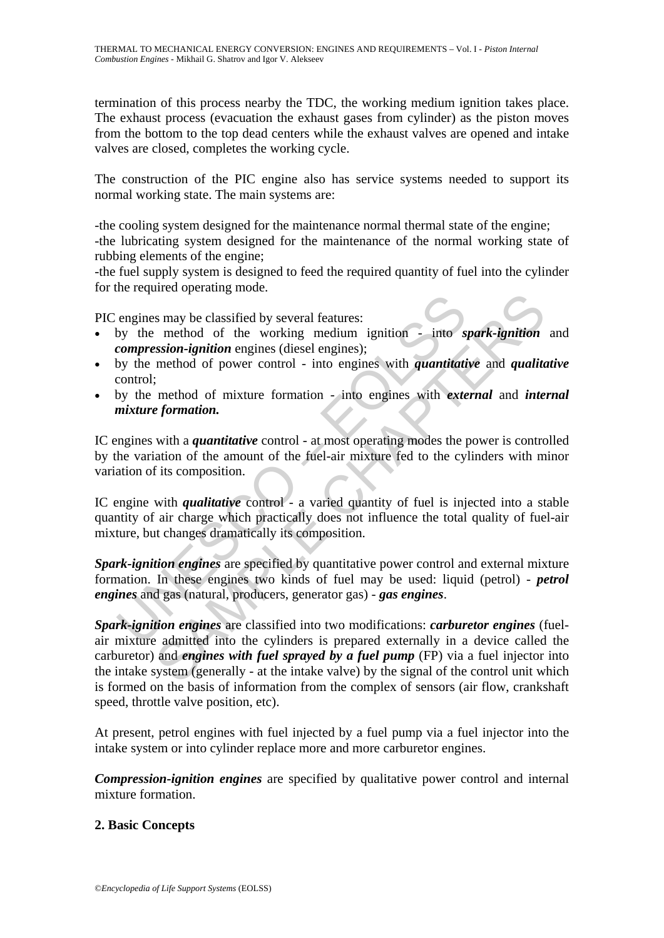termination of this process nearby the TDC, the working medium ignition takes place. The exhaust process (evacuation the exhaust gases from cylinder) as the piston moves from the bottom to the top dead centers while the exhaust valves are opened and intake valves are closed, completes the working cycle.

The construction of the PIC engine also has service systems needed to support its normal working state. The main systems are:

-the cooling system designed for the maintenance normal thermal state of the engine; -the lubricating system designed for the maintenance of the normal working state of rubbing elements of the engine;

-the fuel supply system is designed to feed the required quantity of fuel into the cylinder for the required operating mode.

PIC engines may be classified by several features:

- by the method of the working medium ignition into *spark-ignition* and *compression-ignition* engines (diesel engines);
- by the method of power control into engines with *quantitative* and *qualitative* control;
- by the method of mixture formation into engines with *external* and *internal mixture formation.*

engines may be classified by several features:<br>
engines may be classified by several features:<br>
compression-ignition engines (diesel engines);<br>
by the method of power control - into engines with *quantitatic*<br>
control;<br>
b IC engines with a *quantitative* control - at most operating modes the power is controlled by the variation of the amount of the fuel-air mixture fed to the cylinders with minor variation of its composition.

IC engine with *qualitative* control - a varied quantity of fuel is injected into a stable quantity of air charge which practically does not influence the total quality of fuel-air mixture, but changes dramatically its composition.

*Spark-ignition engines* are specified by quantitative power control and external mixture formation. In these engines two kinds of fuel may be used: liquid (petrol) - *petrol engines* and gas (natural, producers, generator gas) - *gas engines*.

Solution that the working matrix is method of the working medium ignition - into *spark-ignition* exists on-ignition engines (diesel engines);<br>
method of power control - into engines with *quantitative* and *qualita*;<br>  $\$ *Spark-ignition engines* are classified into two modifications: *carburetor engines* (fuelair mixture admitted into the cylinders is prepared externally in a device called the carburetor) and *engines with fuel sprayed by a fuel pump* (FP) via a fuel injector into the intake system (generally - at the intake valve) by the signal of the control unit which is formed on the basis of information from the complex of sensors (air flow, crankshaft speed, throttle valve position, etc).

At present, petrol engines with fuel injected by a fuel pump via a fuel injector into the intake system or into cylinder replace more and more carburetor engines.

*Compression-ignition engines* are specified by qualitative power control and internal mixture formation.

#### **2. Basic Concepts**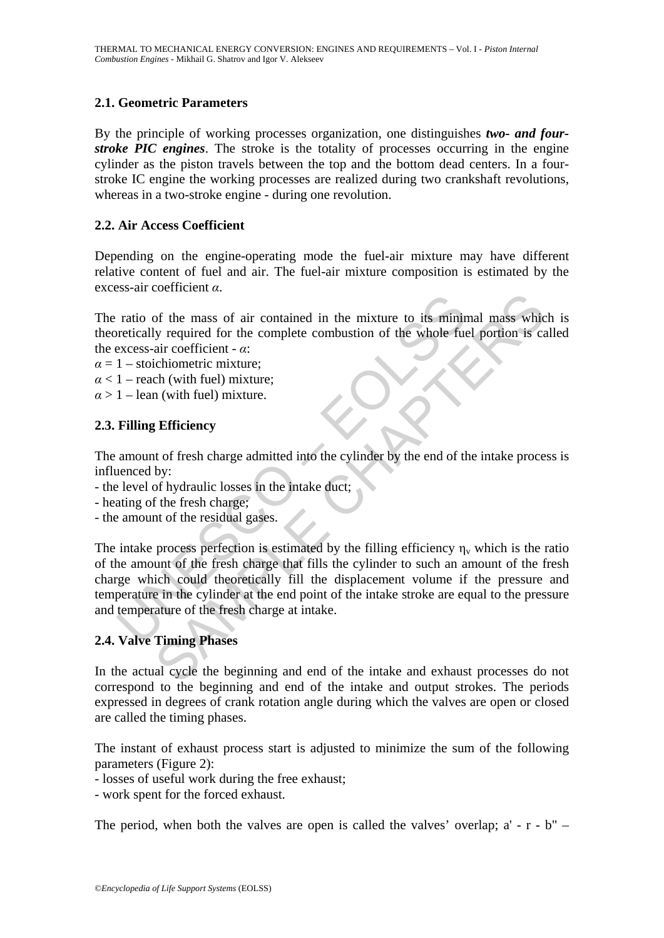### **2.1. Geometric Parameters**

By the principle of working processes organization, one distinguishes *two- and fourstroke PIC engines*. The stroke is the totality of processes occurring in the engine cylinder as the piston travels between the top and the bottom dead centers. In a fourstroke IC engine the working processes are realized during two crankshaft revolutions, whereas in a two-stroke engine - during one revolution.

#### **2.2. Air Access Coefficient**

Depending on the engine-operating mode the fuel-air mixture may have different relative content of fuel and air. The fuel-air mixture composition is estimated by the excess-air coefficient *α*.

The ratio of the mass of air contained in the mixture to its minimal mass which is theoretically required for the complete combustion of the whole fuel portion is called the excess-air coefficient - *α*:

- $\alpha = 1$  stoichiometric mixture:
- $\alpha$  < 1 reach (with fuel) mixture:
- $\alpha$  > 1 lean (with fuel) mixture.

### **2.3. Filling Efficiency**

The amount of fresh charge admitted into the cylinder by the end of the intake process is influenced by:

- the level of hydraulic losses in the intake duct;
- heating of the fresh charge;
- the amount of the residual gases.

ratio of the mass of air contained in the mixture to its minin<br>pretically required for the complete combustion of the whole fue<br>excess-air coefficient  $-\alpha$ :<br> $1 -$ stoichiometric mixture;<br> $1 -$ each (with fuel) mixture;<br> $1 -$ le For the mass of air contained in the mixture to its minimal mass which<br>of the mass of air contained in the mixture to its minimal mass which<br>air coefficient -  $\alpha$ :<br>chiometric mixture;<br>the (with fuel) mixture;<br>the functio The intake process perfection is estimated by the filling efficiency  $\eta_v$  which is the ratio of the amount of the fresh charge that fills the cylinder to such an amount of the fresh charge which could theoretically fill the displacement volume if the pressure and temperature in the cylinder at the end point of the intake stroke are equal to the pressure and temperature of the fresh charge at intake.

### **2.4. Valve Timing Phases**

In the actual cycle the beginning and end of the intake and exhaust processes do not correspond to the beginning and end of the intake and output strokes. The periods expressed in degrees of crank rotation angle during which the valves are open or closed are called the timing phases.

The instant of exhaust process start is adjusted to minimize the sum of the following parameters (Figure 2):

- losses of useful work during the free exhaust;

- work spent for the forced exhaust.

The period, when both the valves are open is called the valves' overlap;  $a' - r - b'' -$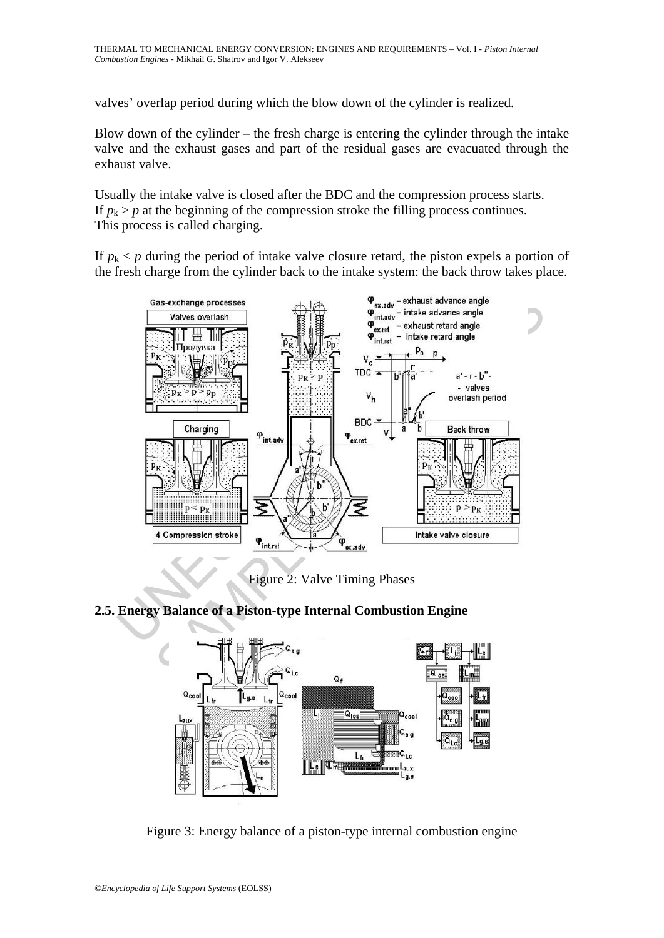valves' overlap period during which the blow down of the cylinder is realized.

Blow down of the cylinder – the fresh charge is entering the cylinder through the intake valve and the exhaust gases and part of the residual gases are evacuated through the exhaust valve.

Usually the intake valve is closed after the BDC and the compression process starts. If  $p_k$  >  $p$  at the beginning of the compression stroke the filling process continues. This process is called charging.

If  $p_k$  < p during the period of intake valve closure retard, the piston expels a portion of the fresh charge from the cylinder back to the intake system: the back throw takes place.



Figure 2: Valve Timing Phases

## **2.5. Energy Balance of a Piston-type Internal Combustion Engine**



Figure 3: Energy balance of a piston-type internal combustion engine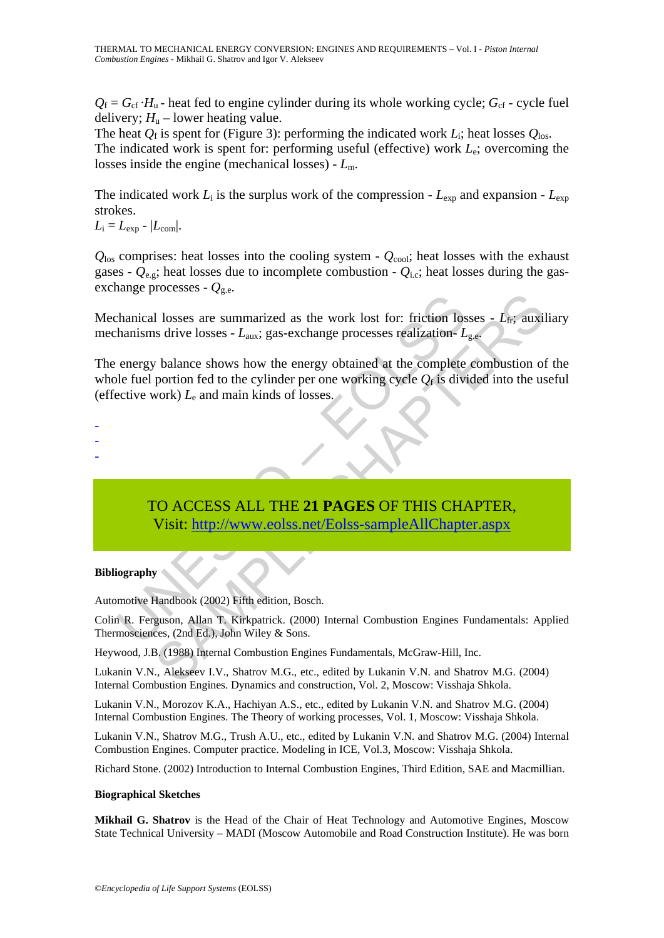$Q_f = G_{cf} \cdot H_u$  - heat fed to engine cylinder during its whole working cycle;  $G_{cf}$  - cycle fuel delivery;  $H<sub>u</sub>$  – lower heating value.

The heat  $Q_f$  is spent for (Figure 3): performing the indicated work  $L_i$ ; heat losses  $Q_{\text{los}}$ . The indicated work is spent for: performing useful (effective) work *L*e; overcoming the losses inside the engine (mechanical losses) - *L*m.

The indicated work  $L_i$  is the surplus work of the compression -  $L_{\text{exp}}$  and expansion -  $L_{\text{exp}}$ strokes.

 $L_i = L_{\text{exp}} - |L_{\text{com}}|$ .

 $Q<sub>los</sub>$  comprises: heat losses into the cooling system -  $Q<sub>cool</sub>$ ; heat losses with the exhaust gases **-**  $Q_{e,g}$ ; heat losses due to incomplete combustion -  $Q_{i,c}$ ; heat losses during the gasexchange processes -  $Q_{\text{g.e.}}$ 

Mechanical losses are summarized as the work lost for: friction losses - L<sub>fr</sub>; auxiliary mechanisms drive losses - *L*aux; gas-exchange processes realization- *L*g.e.

thanical losses are summarized as the work lost for: friction lost<br>hanisms drive losses -  $L_{\text{aux}}$ ; gas-exchange processes realization-  $L$ <br>energy balance shows how the energy obtained at the complete<br>ele fuel portion fe Figure 2.1 The same state work lost for: friction losses -  $L_{\text{ff}}$ ; auxil<br>as drive losses -  $L_{\text{aux}}$ ; gas-exchange processes realization-  $L_{\text{g.e.}}$ <br>to balance shows how the energy obtained at the complete combustion The energy balance shows how the energy obtained at the complete combustion of the whole fuel portion fed to the cylinder per one working cycle  $Q_f$  is divided into the useful (effective work) *L*e and main kinds of losses.

-

- -

> TO ACCESS ALL THE **21 PAGES** OF THIS CHAPTER, Visit: http://www.eolss.net/Eolss-sampleAllChapter.aspx

#### **Bibliography**

Automotive Handbook (2002) Fifth edition, Bosch.

Colin R. Ferguson, Allan T. Kirkpatrick. (2000) Internal Combustion Engines Fundamentals: Applied Thermosciences, (2nd Ed.), John Wiley & Sons.

Heywood, J.B. (1988) Internal Combustion Engines Fundamentals, McGraw-Hill, Inc.

Lukanin V.N., Alekseev I.V., Shatrov M.G., etc., edited by Lukanin V.N. and Shatrov M.G. (2004) Internal Combustion Engines. Dynamics and construction, Vol. 2, Moscow: Visshaja Shkola.

Lukanin V.N., Morozov K.A., Hachiyan A.S., etc., edited by Lukanin V.N. and Shatrov M.G. (2004) Internal Combustion Engines. The Theory of working processes, Vol. 1, Moscow: Visshaja Shkola.

Lukanin V.N., Shatrov M.G., Trush A.U., etc., edited by Lukanin V.N. and Shatrov M.G. (2004) Internal Combustion Engines. Computer practice. Modeling in ICE, Vol.3, Moscow: Visshaja Shkola.

Richard Stone. (2002) Introduction to Internal Combustion Engines, Third Edition, SAE and Macmillian.

#### **Biographical Sketches**

**Mikhail G. Shatrov** is the Head of the Chair of Heat Technology and Automotive Engines, Moscow State Technical University – MADI (Moscow Automobile and Road Construction Institute). He was born